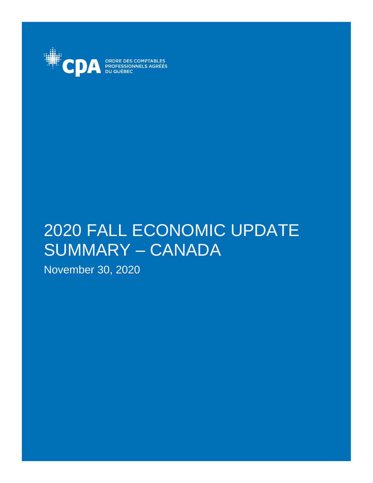

ORDRE DES COMPTABLES<br>PROFESSIONNELS AGRÉÉS

# 2020 FALL ECONOMIC UPDATE SUMMARY – CANADA

November 30, 2020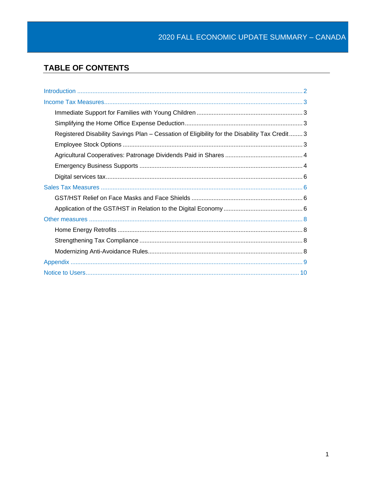# **TABLE OF CONTENTS**

| Registered Disability Savings Plan - Cessation of Eligibility for the Disability Tax Credit 3 |  |
|-----------------------------------------------------------------------------------------------|--|
|                                                                                               |  |
|                                                                                               |  |
|                                                                                               |  |
|                                                                                               |  |
|                                                                                               |  |
|                                                                                               |  |
|                                                                                               |  |
|                                                                                               |  |
|                                                                                               |  |
|                                                                                               |  |
|                                                                                               |  |
|                                                                                               |  |
|                                                                                               |  |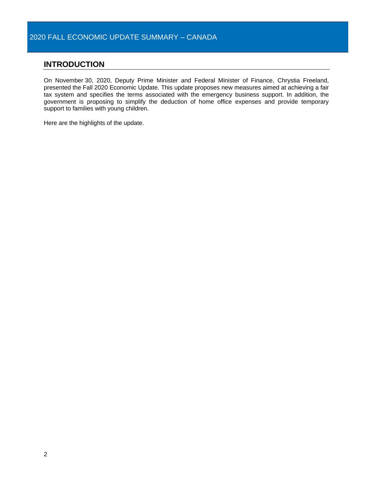# <span id="page-3-0"></span>**INTRODUCTION**

On November 30, 2020, Deputy Prime Minister and Federal Minister of Finance, Chrystia Freeland, presented the Fall 2020 Economic Update. This update proposes new measures aimed at achieving a fair tax system and specifies the terms associated with the emergency business support. In addition, the government is proposing to simplify the deduction of home office expenses and provide temporary support to families with young children.

Here are the highlights of the update.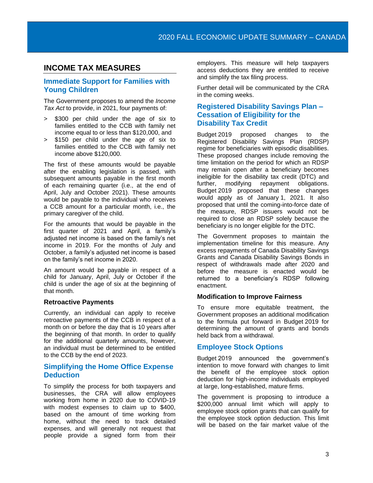# <span id="page-4-0"></span>**INCOME TAX MEASURES**

# <span id="page-4-1"></span>**Immediate Support for Families with Young Children**

The Government proposes to amend the *Income Tax Act* to provide, in 2021, four payments of:

- > \$300 per child under the age of six to families entitled to the CCB with family net income equal to or less than \$120,000, and
- > \$150 per child under the age of six to families entitled to the CCB with family net income above \$120,000.

The first of these amounts would be payable after the enabling legislation is passed, with subsequent amounts payable in the first month of each remaining quarter (i.e., at the end of April, July and October 2021). These amounts would be payable to the individual who receives a CCB amount for a particular month, i.e., the primary caregiver of the child.

For the amounts that would be payable in the first quarter of 2021 and April, a family's adjusted net income is based on the family's net income in 2019. For the months of July and October, a family's adjusted net income is based on the family's net income in 2020.

An amount would be payable in respect of a child for January, April, July or October if the child is under the age of six at the beginning of that month.

#### **Retroactive Payments**

Currently, an individual can apply to receive retroactive payments of the CCB in respect of a month on or before the day that is 10 years after the beginning of that month. In order to qualify for the additional quarterly amounts, however, an individual must be determined to be entitled to the CCB by the end of 2023.

# <span id="page-4-2"></span>**Simplifying the Home Office Expense Deduction**

To simplify the process for both taxpayers and businesses, the CRA will allow employees working from home in 2020 due to COVID-19 with modest expenses to claim up to \$400, based on the amount of time working from home, without the need to track detailed expenses, and will generally not request that people provide a signed form from their

employers. This measure will help taxpayers access deductions they are entitled to receive and simplify the tax filing process.

Further detail will be communicated by the CRA in the coming weeks.

# <span id="page-4-3"></span>**Registered Disability Savings Plan – Cessation of Eligibility for the Disability Tax Credit**

Budget 2019 proposed changes to the Registered Disability Savings Plan (RDSP) regime for beneficiaries with episodic disabilities. These proposed changes include removing the time limitation on the period for which an RDSP may remain open after a beneficiary becomes ineligible for the disability tax credit (DTC) and further, modifying repayment obligations. Budget 2019 proposed that these changes would apply as of January 1, 2021. It also proposed that until the coming-into-force date of the measure, RDSP issuers would not be required to close an RDSP solely because the beneficiary is no longer eligible for the DTC.

The Government proposes to maintain the implementation timeline for this measure. Any excess repayments of Canada Disability Savings Grants and Canada Disability Savings Bonds in respect of withdrawals made after 2020 and before the measure is enacted would be returned to a beneficiary's RDSP following enactment.

#### **Modification to Improve Fairness**

To ensure more equitable treatment, the Government proposes an additional modification to the formula put forward in Budget 2019 for determining the amount of grants and bonds held back from a withdrawal.

# <span id="page-4-4"></span>**Employee Stock Options**

Budget 2019 announced the government's intention to move forward with changes to limit the benefit of the employee stock option deduction for high-income individuals employed at large, long-established, mature firms.

The government is proposing to introduce a \$200,000 annual limit which will apply to employee stock option grants that can qualify for the employee stock option deduction. This limit will be based on the fair market value of the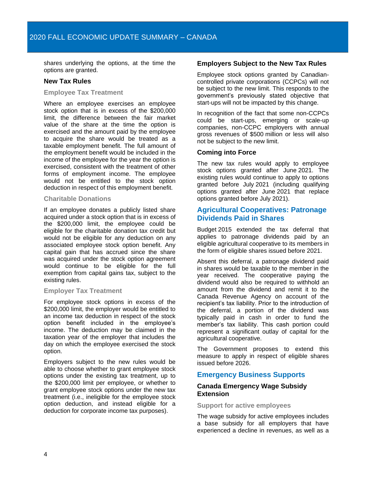shares underlying the options, at the time the options are granted.

#### **New Tax Rules**

#### **Employee Tax Treatment**

Where an employee exercises an employee stock option that is in excess of the \$200,000 limit, the difference between the fair market value of the share at the time the option is exercised and the amount paid by the employee to acquire the share would be treated as a taxable employment benefit. The full amount of the employment benefit would be included in the income of the employee for the year the option is exercised, consistent with the treatment of other forms of employment income. The employee would not be entitled to the stock option deduction in respect of this employment benefit.

#### **Charitable Donations**

If an employee donates a publicly listed share acquired under a stock option that is in excess of the \$200,000 limit, the employee could be eligible for the charitable donation tax credit but would not be eligible for any deduction on any associated employee stock option benefit. Any capital gain that has accrued since the share was acquired under the stock option agreement would continue to be eligible for the full exemption from capital gains tax, subject to the existing rules.

#### **Employer Tax Treatment**

For employee stock options in excess of the \$200,000 limit, the employer would be entitled to an income tax deduction in respect of the stock option benefit included in the employee's income. The deduction may be claimed in the taxation year of the employer that includes the day on which the employee exercised the stock option.

Employers subject to the new rules would be able to choose whether to grant employee stock options under the existing tax treatment, up to the \$200,000 limit per employee, or whether to grant employee stock options under the new tax treatment (i.e., ineligible for the employee stock option deduction, and instead eligible for a deduction for corporate income tax purposes).

#### **Employers Subject to the New Tax Rules**

Employee stock options granted by Canadiancontrolled private corporations (CCPCs) will not be subject to the new limit. This responds to the government's previously stated objective that start-ups will not be impacted by this change.

In recognition of the fact that some non-CCPCs could be start-ups, emerging or scale-up companies, non-CCPC employers with annual gross revenues of \$500 million or less will also not be subject to the new limit.

#### **Coming into Force**

The new tax rules would apply to employee stock options granted after June 2021. The existing rules would continue to apply to options granted before July 2021 (including qualifying options granted after June 2021 that replace options granted before July 2021).

# <span id="page-5-0"></span>**Agricultural Cooperatives: Patronage Dividends Paid in Shares**

Budget 2015 extended the tax deferral that applies to patronage dividends paid by an eligible agricultural cooperative to its members in the form of eligible shares issued before 2021.

Absent this deferral, a patronage dividend paid in shares would be taxable to the member in the year received. The cooperative paying the dividend would also be required to withhold an amount from the dividend and remit it to the Canada Revenue Agency on account of the recipient's tax liability. Prior to the introduction of the deferral, a portion of the dividend was typically paid in cash in order to fund the member's tax liability. This cash portion could represent a significant outlay of capital for the agricultural cooperative.

The Government proposes to extend this measure to apply in respect of eligible shares issued before 2026.

# <span id="page-5-1"></span>**Emergency Business Supports**

## **Canada Emergency Wage Subsidy Extension**

#### **Support for active employees**

The wage subsidy for active employees includes a base subsidy for all employers that have experienced a decline in revenues, as well as a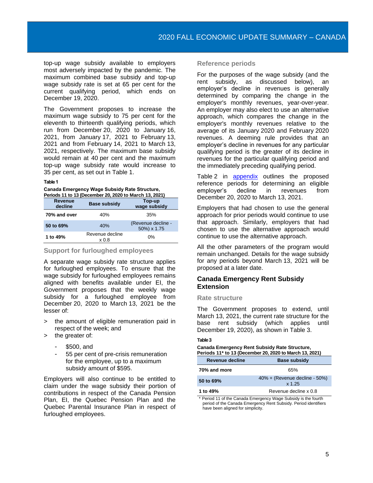top-up wage subsidy available to employers most adversely impacted by the pandemic. The maximum combined base subsidy and top-up wage subsidy rate is set at 65 per cent for the current qualifying period, which ends on December 19, 2020.

The Government proposes to increase the maximum wage subsidy to 75 per cent for the eleventh to thirteenth qualifying periods, which run from December 20, 2020 to January 16, 2021, from January 17, 2021 to February 13, 2021 and from February 14, 2021 to March 13, 2021, respectively. The maximum base subsidy would remain at 40 per cent and the maximum top-up wage subsidy rate would increase to 35 per cent, as set out in Table 1.

#### **Table1**

**Canada Emergency Wage Subsidy Rate Structure, Periods 11 to 13 (December 20, 2020 to March 13, 2021)**

| $\sim$ 0.000 $\sim$ 0.000 $\sim$ 0.000 $\sim$ 0.000 $\sim$ 0.000 $\sim$ 0.000 $\sim$ 0.000 $\sim$ 0.000 $\sim$ |                          |                                   |  |  |  |
|----------------------------------------------------------------------------------------------------------------|--------------------------|-----------------------------------|--|--|--|
| Revenue<br>decline                                                                                             | <b>Base subsidy</b>      | Top-up<br>wage subsidy            |  |  |  |
| 70% and over                                                                                                   | 40%                      | 35%                               |  |  |  |
| 50 to 69%                                                                                                      | 40%                      | (Revenue decline -<br>50%) x 1.75 |  |  |  |
| 1 to 49%                                                                                                       | Revenue decline<br>x 0.8 | 0%                                |  |  |  |

#### **Support for furloughed employees**

A separate wage subsidy rate structure applies for furloughed employees. To ensure that the wage subsidy for furloughed employees remains aligned with benefits available under EI, the Government proposes that the weekly wage subsidy for a furloughed employee from December 20, 2020 to March 13, 2021 be the lesser of:

- the amount of eligible remuneration paid in respect of the week; and
- > the greater of:
	- \$500, and
	- 55 per cent of pre-crisis remuneration for the employee, up to a maximum subsidy amount of \$595.

Employers will also continue to be entitled to claim under the wage subsidy their portion of contributions in respect of the Canada Pension Plan, EI, the Quebec Pension Plan and the Quebec Parental Insurance Plan in respect of furloughed employees.

#### **Reference periods**

For the purposes of the wage subsidy (and the rent subsidy, as discussed below), an employer's decline in revenues is generally determined by comparing the change in the employer's monthly revenues, year-over-year. An employer may also elect to use an alternative approach, which compares the change in the employer's monthly revenues relative to the average of its January 2020 and February 2020 revenues. A deeming rule provides that an employer's decline in revenues for any particular qualifying period is the greater of its decline in revenues for the particular qualifying period and the immediately preceding qualifying period.

Table 2 in [appendix](#page-10-0) outlines the proposed reference periods for determining an eligible employer's decline in revenues from December 20, 2020 to March 13, 2021.

Employers that had chosen to use the general approach for prior periods would continue to use that approach. Similarly, employers that had chosen to use the alternative approach would continue to use the alternative approach.

All the other parameters of the program would remain unchanged. Details for the wage subsidy for any periods beyond March 13, 2021 will be proposed at a later date.

# **Canada Emergency Rent Subsidy Extension**

#### **Rate structure**

The Government proposes to extend, until March 13, 2021, the current rate structure for the base rent subsidy (which applies until December 19, 2020), as shown in Table 3.

#### **Table3**

#### **Canada Emergency Rent Subsidy Rate Structure, Periods 11\* to 13 (December 20, 2020 to March 13, 2021)**

| Revenue decline | <b>Base subsidy</b>                        |  |  |
|-----------------|--------------------------------------------|--|--|
| 70% and more    | 65%                                        |  |  |
| 50 to 69%       | $40\% +$ (Revenue decline - 50%)<br>x 1.25 |  |  |
| 1 to 49%        | Revenue decline x 0.8                      |  |  |

\* Period 11 of the Canada Emergency Wage Subsidy is the fourth period of the Canada Emergency Rent Subsidy. Period identifiers have been aligned for simplicity.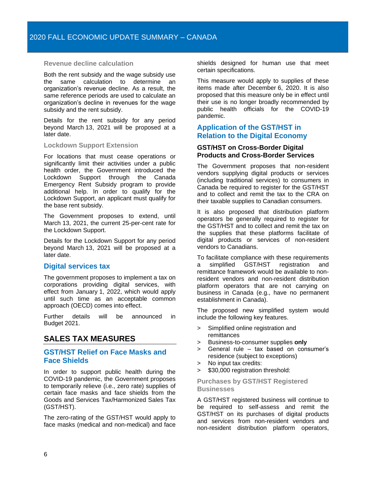#### **Revenue decline calculation**

Both the rent subsidy and the wage subsidy use the same calculation to determine an organization's revenue decline. As a result, the same reference periods are used to calculate an organization's decline in revenues for the wage subsidy and the rent subsidy.

Details for the rent subsidy for any period beyond March 13, 2021 will be proposed at a later date.

#### **Lockdown Support Extension**

For locations that must cease operations or significantly limit their activities under a public health order, the Government introduced the Lockdown Support through the Canada Emergency Rent Subsidy program to provide additional help. In order to qualify for the Lockdown Support, an applicant must qualify for the base rent subsidy.

The Government proposes to extend, until March 13, 2021, the current 25-per-cent rate for the Lockdown Support.

Details for the Lockdown Support for any period beyond March 13, 2021 will be proposed at a later date.

#### <span id="page-7-0"></span>**Digital services tax**

The government proposes to implement a tax on corporations providing digital services, with effect from January 1, 2022, which would apply until such time as an acceptable common approach (OECD) comes into effect.

Further details will be announced in Budget 2021.

# <span id="page-7-1"></span>**SALES TAX MEASURES**

## <span id="page-7-2"></span>**GST/HST Relief on Face Masks and Face Shields**

In order to support public health during the COVID-19 pandemic, the Government proposes to temporarily relieve (i.e., zero rate) supplies of certain face masks and face shields from the Goods and Services Tax/Harmonized Sales Tax (GST/HST).

The zero-rating of the GST/HST would apply to face masks (medical and non-medical) and face shields designed for human use that meet certain specifications.

This measure would apply to supplies of these items made after December 6, 2020. It is also proposed that this measure only be in effect until their use is no longer broadly recommended by public health officials for the COVID-19 pandemic.

## <span id="page-7-3"></span>**Application of the GST/HST in Relation to the Digital Economy**

#### **GST/HST on Cross-Border Digital Products and Cross-Border Services**

The Government proposes that non-resident vendors supplying digital products or services (including traditional services) to consumers in Canada be required to register for the GST/HST and to collect and remit the tax to the CRA on their taxable supplies to Canadian consumers.

It is also proposed that distribution platform operators be generally required to register for the GST/HST and to collect and remit the tax on the supplies that these platforms facilitate of digital products or services of non-resident vendors to Canadians.

To facilitate compliance with these requirements a simplified GST/HST registration and remittance framework would be available to nonresident vendors and non-resident distribution platform operators that are not carrying on business in Canada (e.g., have no permanent establishment in Canada).

The proposed new simplified system would include the following key features.

- > Simplified online registration and remittances
- > Business-to-consumer supplies **only**
- > General rule tax based on consumer's residence (subject to exceptions)
- > No input tax credits:
- > \$30,000 registration threshold:

#### **Purchases by GST/HST Registered Businesses**

A GST/HST registered business will continue to be required to self-assess and remit the GST/HST on its purchases of digital products and services from non-resident vendors and non-resident distribution platform operators,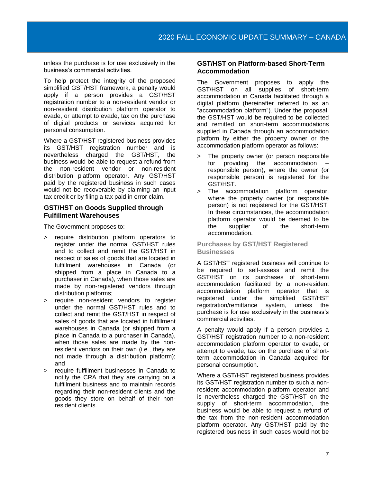unless the purchase is for use exclusively in the business's commercial activities.

To help protect the integrity of the proposed simplified GST/HST framework, a penalty would apply if a person provides a GST/HST registration number to a non-resident vendor or non-resident distribution platform operator to evade, or attempt to evade, tax on the purchase of digital products or services acquired for personal consumption.

Where a GST/HST registered business provides its GST/HST registration number and is nevertheless charged the GST/HST, the business would be able to request a refund from the non-resident vendor or non-resident distribution platform operator. Any GST/HST paid by the registered business in such cases would not be recoverable by claiming an input tax credit or by filing a tax paid in error claim.

#### **GST/HST on Goods Supplied through Fulfillment Warehouses**

The Government proposes to:

- > require distribution platform operators to register under the normal GST/HST rules and to collect and remit the GST/HST in respect of sales of goods that are located in fulfillment warehouses in Canada (or shipped from a place in Canada to a purchaser in Canada), when those sales are made by non-registered vendors through distribution platforms;
- > require non-resident vendors to register under the normal GST/HST rules and to collect and remit the GST/HST in respect of sales of goods that are located in fulfillment warehouses in Canada (or shipped from a place in Canada to a purchaser in Canada), when those sales are made by the nonresident vendors on their own (i.e., they are not made through a distribution platform); and
- > require fulfillment businesses in Canada to notify the CRA that they are carrying on a fulfillment business and to maintain records regarding their non-resident clients and the goods they store on behalf of their nonresident clients.

#### **GST/HST on Platform-based Short-Term Accommodation**

The Government proposes to apply the GST/HST on all supplies of short-term accommodation in Canada facilitated through a digital platform (hereinafter referred to as an "accommodation platform"). Under the proposal, the GST/HST would be required to be collected and remitted on short-term accommodations supplied in Canada through an accommodation platform by either the property owner or the accommodation platform operator as follows:

- > The property owner (or person responsible for providing the accommodation responsible person), where the owner (or responsible person) is registered for the GST/HST.
- > The accommodation platform operator, where the property owner (or responsible person) is not registered for the GST/HST. In these circumstances, the accommodation platform operator would be deemed to be the supplier of the short-term accommodation.

#### **Purchases by GST/HST Registered Businesses**

A GST/HST registered business will continue to be required to self-assess and remit the GST/HST on its purchases of short-term accommodation facilitated by a non-resident accommodation platform operator that is registered under the simplified GST/HST registration/remittance system, unless the purchase is for use exclusively in the business's commercial activities.

A penalty would apply if a person provides a GST/HST registration number to a non-resident accommodation platform operator to evade, or attempt to evade, tax on the purchase of shortterm accommodation in Canada acquired for personal consumption.

Where a GST/HST registered business provides its GST/HST registration number to such a nonresident accommodation platform operator and is nevertheless charged the GST/HST on the supply of short-term accommodation, the business would be able to request a refund of the tax from the non-resident accommodation platform operator. Any GST/HST paid by the registered business in such cases would not be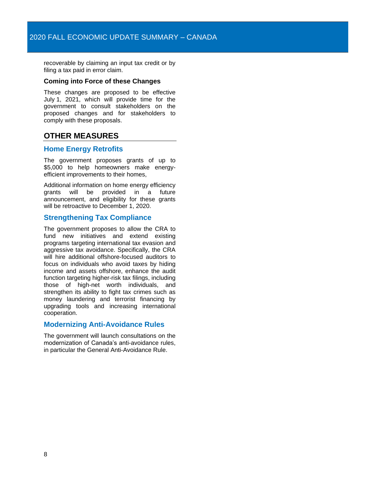recoverable by claiming an input tax credit or by filing a tax paid in error claim.

#### **Coming into Force of these Changes**

These changes are proposed to be effective July 1, 2021, which will provide time for the government to consult stakeholders on the proposed changes and for stakeholders to comply with these proposals.

# <span id="page-9-0"></span>**OTHER MEASURES**

#### <span id="page-9-1"></span>**Home Energy Retrofits**

The government proposes grants of up to \$5,000 to help homeowners make energyefficient improvements to their homes,

Additional information on home energy efficiency grants will be provided in a future announcement, and eligibility for these grants will be retroactive to December 1, 2020.

# <span id="page-9-2"></span>**Strengthening Tax Compliance**

The government proposes to allow the CRA to fund new initiatives and extend existing programs targeting international tax evasion and aggressive tax avoidance. Specifically, the CRA will hire additional offshore-focused auditors to focus on individuals who avoid taxes by hiding income and assets offshore, enhance the audit function targeting higher-risk tax filings, including those of high-net worth individuals, and strengthen its ability to fight tax crimes such as money laundering and terrorist financing by upgrading tools and increasing international cooperation.

# <span id="page-9-3"></span>**Modernizing Anti-Avoidance Rules**

The government will launch consultations on the modernization of Canada's anti-avoidance rules, in particular the General Anti-Avoidance Rule.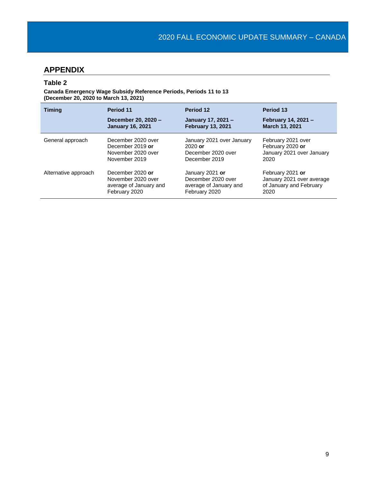# <span id="page-10-0"></span>**APPENDIX**

## **Table 2**

**Canada Emergency Wage Subsidy Reference Periods, Periods 11 to 13 (December 20, 2020 to March 13, 2021)**

| <b>Timing</b>        | Period 11               | Period 12                 | Period 13                 |
|----------------------|-------------------------|---------------------------|---------------------------|
|                      | December 20, 2020 -     | January 17, 2021 -        | February 14, 2021 -       |
|                      | <b>January 16, 2021</b> | <b>February 13, 2021</b>  | March 13, 2021            |
| General approach     | December 2020 over      | January 2021 over January | February 2021 over        |
|                      | December 2019 or        | $2020$ or                 | February 2020 or          |
|                      | November 2020 over      | December 2020 over        | January 2021 over January |
|                      | November 2019           | December 2019             | 2020                      |
| Alternative approach | December 2020 or        | January 2021 or           | February 2021 or          |
|                      | November 2020 over      | December 2020 over        | January 2021 over average |
|                      | average of January and  | average of January and    | of January and February   |
|                      | February 2020           | February 2020             | 2020                      |